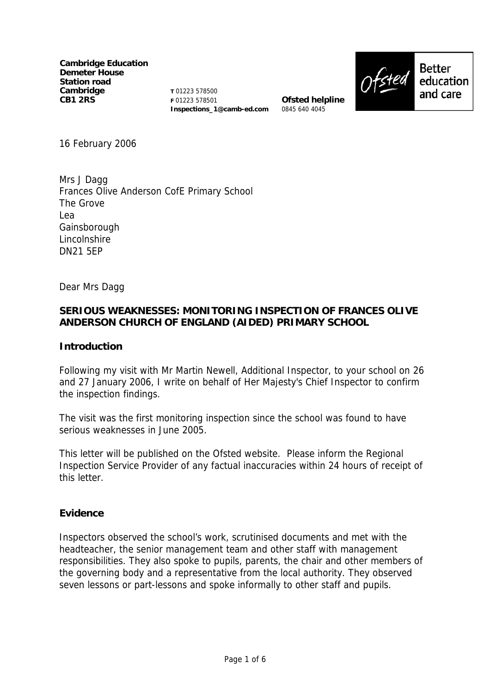**Cambridge Education Demeter House Station road Cambridge CB1 2RS** 

**T** 01223 578500 **F** 01223 578501 **Inspections\_1@camb-ed.com** 

**Ofsted helpline** 0845 640 4045



**Better** education and care

16 February 2006

Mrs J Dagg Frances Olive Anderson CofE Primary School The Grove Lea Gainsborough Lincolnshire DN21 5EP

Dear Mrs Dagg

## **SERIOUS WEAKNESSES: MONITORING INSPECTION OF FRANCES OLIVE ANDERSON CHURCH OF ENGLAND (AIDED) PRIMARY SCHOOL**

### **Introduction**

Following my visit with Mr Martin Newell, Additional Inspector, to your school on 26 and 27 January 2006, I write on behalf of Her Majesty's Chief Inspector to confirm the inspection findings.

The visit was the first monitoring inspection since the school was found to have serious weaknesses in June 2005.

This letter will be published on the Ofsted website. Please inform the Regional Inspection Service Provider of any factual inaccuracies within 24 hours of receipt of this letter.

### **Evidence**

Inspectors observed the school's work, scrutinised documents and met with the headteacher, the senior management team and other staff with management responsibilities. They also spoke to pupils, parents, the chair and other members of the governing body and a representative from the local authority. They observed seven lessons or part-lessons and spoke informally to other staff and pupils.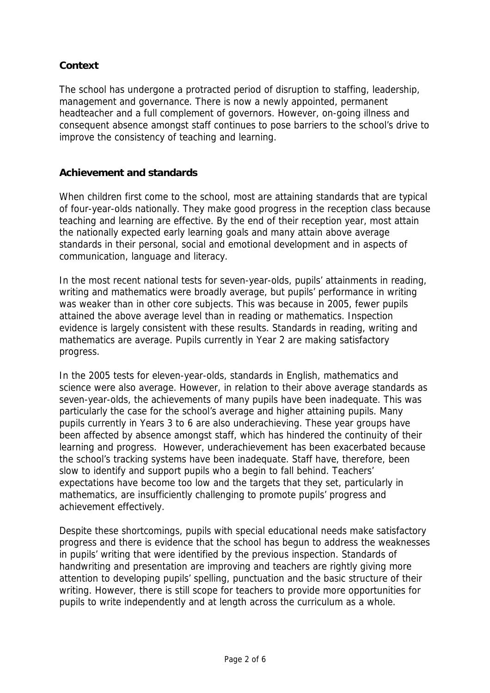# **Context**

The school has undergone a protracted period of disruption to staffing, leadership, management and governance. There is now a newly appointed, permanent headteacher and a full complement of governors. However, on-going illness and consequent absence amongst staff continues to pose barriers to the school's drive to improve the consistency of teaching and learning.

## **Achievement and standards**

When children first come to the school, most are attaining standards that are typical of four-year-olds nationally. They make good progress in the reception class because teaching and learning are effective. By the end of their reception year, most attain the nationally expected early learning goals and many attain above average standards in their personal, social and emotional development and in aspects of communication, language and literacy.

In the most recent national tests for seven-year-olds, pupils' attainments in reading, writing and mathematics were broadly average, but pupils' performance in writing was weaker than in other core subjects. This was because in 2005, fewer pupils attained the above average level than in reading or mathematics. Inspection evidence is largely consistent with these results. Standards in reading, writing and mathematics are average. Pupils currently in Year 2 are making satisfactory progress.

In the 2005 tests for eleven-year-olds, standards in English, mathematics and science were also average. However, in relation to their above average standards as seven-year-olds, the achievements of many pupils have been inadequate. This was particularly the case for the school's average and higher attaining pupils. Many pupils currently in Years 3 to 6 are also underachieving. These year groups have been affected by absence amongst staff, which has hindered the continuity of their learning and progress. However, underachievement has been exacerbated because the school's tracking systems have been inadequate. Staff have, therefore, been slow to identify and support pupils who a begin to fall behind. Teachers' expectations have become too low and the targets that they set, particularly in mathematics, are insufficiently challenging to promote pupils' progress and achievement effectively.

Despite these shortcomings, pupils with special educational needs make satisfactory progress and there is evidence that the school has begun to address the weaknesses in pupils' writing that were identified by the previous inspection. Standards of handwriting and presentation are improving and teachers are rightly giving more attention to developing pupils' spelling, punctuation and the basic structure of their writing. However, there is still scope for teachers to provide more opportunities for pupils to write independently and at length across the curriculum as a whole.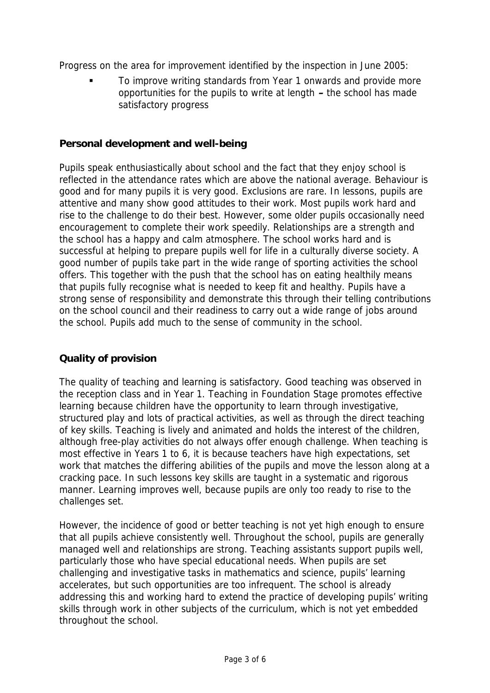Progress on the area for improvement identified by the inspection in June 2005:

 To improve writing standards from Year 1 onwards and provide more opportunities for the pupils to write at length **–** the school has made satisfactory progress

## **Personal development and well-being**

Pupils speak enthusiastically about school and the fact that they enjoy school is reflected in the attendance rates which are above the national average. Behaviour is good and for many pupils it is very good. Exclusions are rare. In lessons, pupils are attentive and many show good attitudes to their work. Most pupils work hard and rise to the challenge to do their best. However, some older pupils occasionally need encouragement to complete their work speedily. Relationships are a strength and the school has a happy and calm atmosphere. The school works hard and is successful at helping to prepare pupils well for life in a culturally diverse society. A good number of pupils take part in the wide range of sporting activities the school offers. This together with the push that the school has on eating healthily means that pupils fully recognise what is needed to keep fit and healthy. Pupils have a strong sense of responsibility and demonstrate this through their telling contributions on the school council and their readiness to carry out a wide range of jobs around the school. Pupils add much to the sense of community in the school.

# **Quality of provision**

The quality of teaching and learning is satisfactory. Good teaching was observed in the reception class and in Year 1. Teaching in Foundation Stage promotes effective learning because children have the opportunity to learn through investigative, structured play and lots of practical activities, as well as through the direct teaching of key skills. Teaching is lively and animated and holds the interest of the children, although free-play activities do not always offer enough challenge. When teaching is most effective in Years 1 to 6, it is because teachers have high expectations, set work that matches the differing abilities of the pupils and move the lesson along at a cracking pace. In such lessons key skills are taught in a systematic and rigorous manner. Learning improves well, because pupils are only too ready to rise to the challenges set.

However, the incidence of good or better teaching is not yet high enough to ensure that all pupils achieve consistently well. Throughout the school, pupils are generally managed well and relationships are strong. Teaching assistants support pupils well, particularly those who have special educational needs. When pupils are set challenging and investigative tasks in mathematics and science, pupils' learning accelerates, but such opportunities are too infrequent. The school is already addressing this and working hard to extend the practice of developing pupils' writing skills through work in other subjects of the curriculum, which is not yet embedded throughout the school.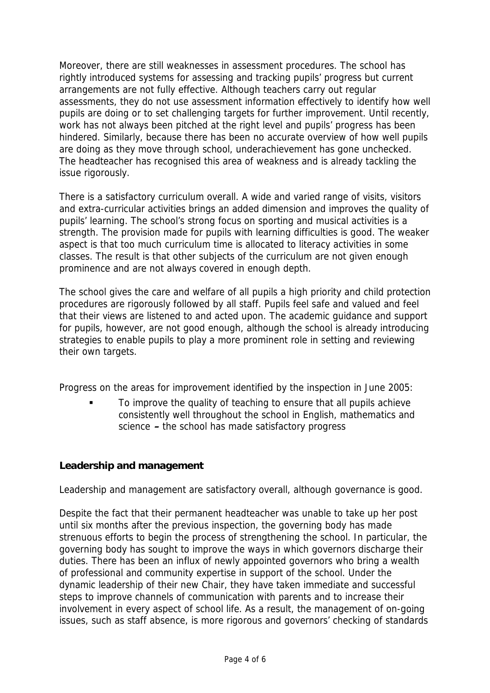Moreover, there are still weaknesses in assessment procedures. The school has rightly introduced systems for assessing and tracking pupils' progress but current arrangements are not fully effective. Although teachers carry out regular assessments, they do not use assessment information effectively to identify how well pupils are doing or to set challenging targets for further improvement. Until recently, work has not always been pitched at the right level and pupils' progress has been hindered. Similarly, because there has been no accurate overview of how well pupils are doing as they move through school, underachievement has gone unchecked. The headteacher has recognised this area of weakness and is already tackling the issue rigorously.

There is a satisfactory curriculum overall. A wide and varied range of visits, visitors and extra-curricular activities brings an added dimension and improves the quality of pupils' learning. The school's strong focus on sporting and musical activities is a strength. The provision made for pupils with learning difficulties is good. The weaker aspect is that too much curriculum time is allocated to literacy activities in some classes. The result is that other subjects of the curriculum are not given enough prominence and are not always covered in enough depth.

The school gives the care and welfare of all pupils a high priority and child protection procedures are rigorously followed by all staff. Pupils feel safe and valued and feel that their views are listened to and acted upon. The academic guidance and support for pupils, however, are not good enough, although the school is already introducing strategies to enable pupils to play a more prominent role in setting and reviewing their own targets.

Progress on the areas for improvement identified by the inspection in June 2005:

 To improve the quality of teaching to ensure that all pupils achieve consistently well throughout the school in English, mathematics and science **–** the school has made satisfactory progress

# **Leadership and management**

Leadership and management are satisfactory overall, although governance is good.

Despite the fact that their permanent headteacher was unable to take up her post until six months after the previous inspection, the governing body has made strenuous efforts to begin the process of strengthening the school. In particular, the governing body has sought to improve the ways in which governors discharge their duties. There has been an influx of newly appointed governors who bring a wealth of professional and community expertise in support of the school. Under the dynamic leadership of their new Chair, they have taken immediate and successful steps to improve channels of communication with parents and to increase their involvement in every aspect of school life. As a result, the management of on-going issues, such as staff absence, is more rigorous and governors' checking of standards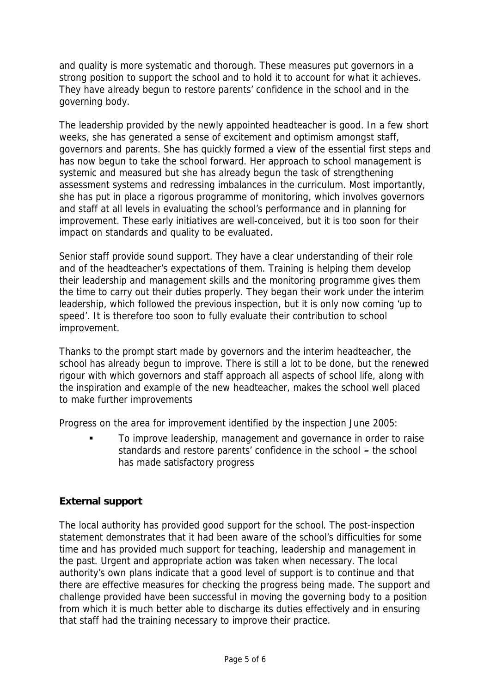and quality is more systematic and thorough. These measures put governors in a strong position to support the school and to hold it to account for what it achieves. They have already begun to restore parents' confidence in the school and in the governing body.

The leadership provided by the newly appointed headteacher is good. In a few short weeks, she has generated a sense of excitement and optimism amongst staff, governors and parents. She has quickly formed a view of the essential first steps and has now begun to take the school forward. Her approach to school management is systemic and measured but she has already begun the task of strengthening assessment systems and redressing imbalances in the curriculum. Most importantly, she has put in place a rigorous programme of monitoring, which involves governors and staff at all levels in evaluating the school's performance and in planning for improvement. These early initiatives are well-conceived, but it is too soon for their impact on standards and quality to be evaluated.

Senior staff provide sound support. They have a clear understanding of their role and of the headteacher's expectations of them. Training is helping them develop their leadership and management skills and the monitoring programme gives them the time to carry out their duties properly. They began their work under the interim leadership, which followed the previous inspection, but it is only now coming 'up to speed'. It is therefore too soon to fully evaluate their contribution to school improvement.

Thanks to the prompt start made by governors and the interim headteacher, the school has already begun to improve. There is still a lot to be done, but the renewed rigour with which governors and staff approach all aspects of school life, along with the inspiration and example of the new headteacher, makes the school well placed to make further improvements

Progress on the area for improvement identified by the inspection June 2005:

 To improve leadership, management and governance in order to raise standards and restore parents' confidence in the school **–** the school has made satisfactory progress

# **External support**

The local authority has provided good support for the school. The post-inspection statement demonstrates that it had been aware of the school's difficulties for some time and has provided much support for teaching, leadership and management in the past. Urgent and appropriate action was taken when necessary. The local authority's own plans indicate that a good level of support is to continue and that there are effective measures for checking the progress being made. The support and challenge provided have been successful in moving the governing body to a position from which it is much better able to discharge its duties effectively and in ensuring that staff had the training necessary to improve their practice.